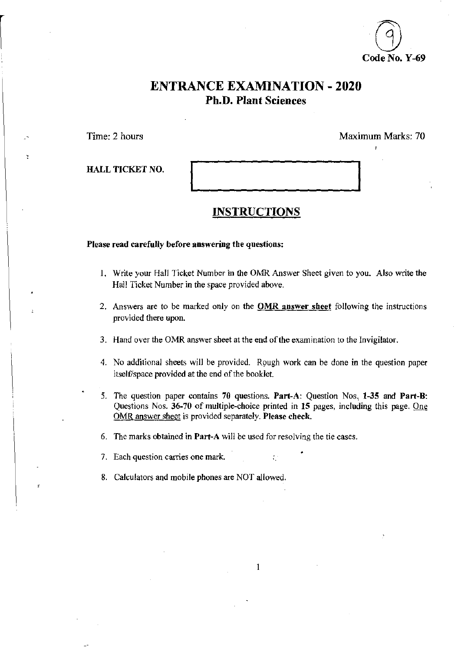

# ENTRANCE EXAMINATION - 2020 Ph.D. Plant Sciences

Time: 2 hours Maximum Marks: 70

HALL TICKET NO.

### **INSTRUCTIONS**

Please read carefully before answering the questions:

- 1. Write your Hall Ticket Number in the OMR Answer Sheet given to you. Also write the Hall Ticket Number in the space provided above.
- 2. Answers are to be marked only on the **OMR** answer sheet following the instructions provided there upon.
- 3. Hand over the OMR answer sheet at the end of the examination to the Invigilator.
- 4. No additional sheets will be provided. Rough work can be done in the question paper itself/space provided at the end of the booklet.
- 5. The question paper contains 70 questions. Part-A: Question Nos, 1-35 and Part-B: Questions Nos. 36-70 of multiple-choice printed in 15 pages, including this page. One OMR answer sheet is provided separately. Please check.

1

- 6. The marks obtained in Part-A will be used for resolving the tie cases .
- 7. Each question carries one mark.  $\ddot{\phantom{1}}$
- 8. Calculators and mobile phones are NOT allowed.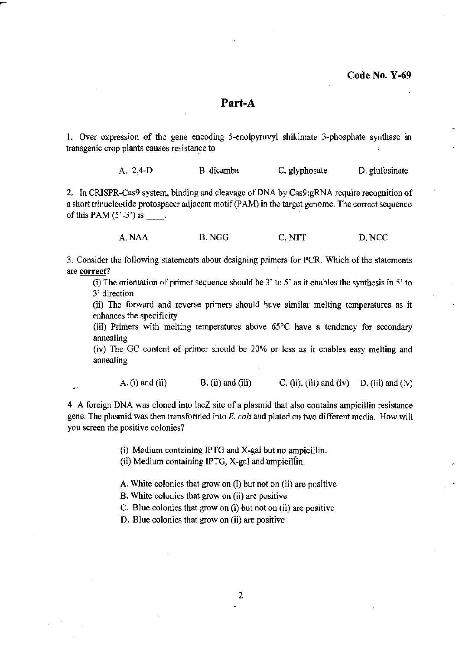### Part-A

1. Over expression of the gene encoding 5-enolpyruvyl shikimate 3-phosphate synthase in transgenic crop plants causes resistance to

A. 2,4-0 B.dicamba C. glyphosate D. glufosinate

2. In CRISPR-Cas9 system, binding and cleavage of DNA by Cas9:gRNA require recognition of a short trinucleotide protospacer adjacent motif (PAM) in the target genome. The correct sequence of this PAM  $(5'-3')$  is  $\qquad$ .

A.NAA B.NGG C.NTT D.NCC

3. Consider the following statements about designing primers for PCR. Which of the statements are correct?

(i) The orientation of primer sequence should be  $3'$  to  $5'$  as it enables the synthesis in  $5'$  to 3' direction

(ii) The forward and reverse primers should have similar melting temperatures as it enhances the specificity

(iii) Primers with melting temperatures above 65°C have a tendency for secondary annealing

(iv) The GC content of primer should be 20% or less as it enables easy melting and annealing

A. (i) and (ii) B. (ii) and (iii) C. (ii), (iii) and (iv) D. (iii) and (iv)

4. A foreign DNA was cloned into lacZ site of a plasmid that also contains ampicillin resistance gene. The pJasmid was then transformed into E. *coli* and plated on two different media. How will you screen the positive colonies?

(i) Medium containing IPTG and X-gal but no ampicillin.

(ii) Medium containing IPTG, X-gal and;ampiciliin.

A. White colonies that grow on (i) but not on (ii) are positive

B. White colonies that grow on (ii) are positive

C. Blue colonies that grow on (i) but not on (ii) are positive

D. Blue colonies that grow on (ii) are positive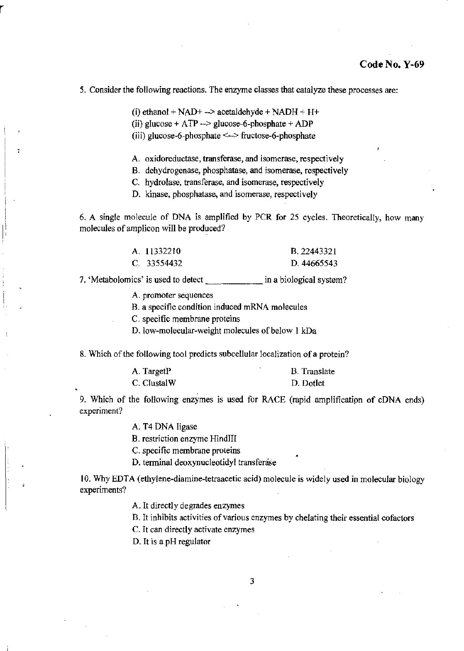#### 5. Consider the following reactions. The enzyme classes that catalyze these processes are:

(i) ethanol +  $NAD+$  --> acetaldehyde +  $NADH + H+$ 

(ii) glucose +  $ATP \rightarrow$  glucose-6-phosphate +  $ADP$ 

(iii) glucose-6-phosphate <--> fructose-6-phosphate

A. oxidoreductase, transferase, and isomerase, respectively

B. dehydrogenase, phosphatase, and isomerase, respectively

C. hydrolase, transferase, and isomerase, respectively

D. kinase, phosphatase, and isomerase, respectively

6. A single molecule of DNA is amplified by PCR for 25 cycles. Theoretically, how many molecules of ampiicon will be produced?

| A. 11332210 | B. 22443321 |
|-------------|-------------|
| C. 33554432 | D. 44665543 |

7. 'Metabolomics' is used to detect in a biological system?

A. promoter sequences

B. a specific condition induced mRNA molecules

C. specific membrane proteins

D. low-molecular-weight molecules of below 1 kDa

8. Which of the following tool predicts subcellular localization of a protein?

| A. TargetP  | <b>B.</b> Translate |
|-------------|---------------------|
| C. ClustalW | D. Dotlet           |

9. Which of the following enzymes is used for RACE (rapid amplification of cDNA ends) experiment?

A. T4 DNA ligase

B. restriction enzyme HindIII

C. specific membrane proteins

D. terminal deoxynucleotidyl transferase

10. Why EDTA (ethylene-diamine-tetraacetic acid) molecule is widely used in molecular biology experiments?

A. It directly degrades enzymes

B. It inhibits activities of various enzymes by chelating their essential cofactors

C. It can directly activate enzymes

D. It is a pH regulator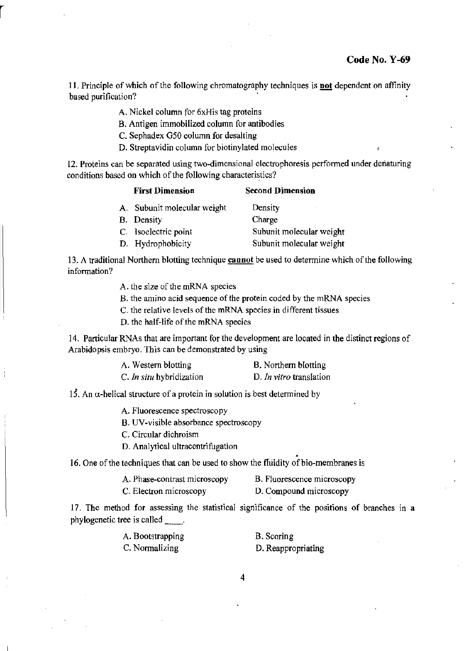II. Principle of which of the following chromatography techniques is not dependent on affinity based purification?

- A. Nickel column for 6xHis tag proteins
- B. Antigen immobilized column for antibodies
- C. Sephadex G50 column for desalting
- D. Streptavidin column for biotinylated molecules

12. Proteins can be separated using two-dimensional electrophoresis performed under denaturing conditions based on which of the following characteristics?

| <b>First Dimension</b>      | <b>Second Dimension</b>  |
|-----------------------------|--------------------------|
| A. Subunit molecular weight | Density                  |
| <b>B.</b> Density           | Charge                   |
| C. Isoelectric point        | Subunit molecular weight |
| D. Hydrophobicity           | Subunit molecular weight |

13. A traditional Northern blotting technique **cannot** be used to determine which of the following information?

A. the size of the mRNA species

- 8. the amino acid sequence of the protein coded by the mRNA species
- C. the relative levels of the mRNA species in different tissues
- D. the half-life of the mRNA species

14. Particular RNAs that are important for the development are located in the distinct regions of Arabidopsis embryo. This can be demonstrated by using

| A. Western blotting      | B. Northern blotting    |
|--------------------------|-------------------------|
| C. In situ hybridization | D. In vitro translation |

15. An  $\alpha$ -helical structure of a protein in solution is best determined by

A. Fluorescence spectroscopy

B. UV-visible absorbance spectroscopy

C. Circular dichroism

D. Analytical ultracentrifugation . 16. One of the techniques that can be used to show the fluidity of bio-membranes is

- A. Phase-contrast microscopy B. Fluorescence microscopy
- C. Electron microscopy D. Compound microscopy

17. The method for assessing the statistical significance of the positions of branches in a phylogenetic tree is called \_\_\_\_.

| A. Bootstrapping | B. Scoring         |
|------------------|--------------------|
| C. Normalizing   | D. Reappropriating |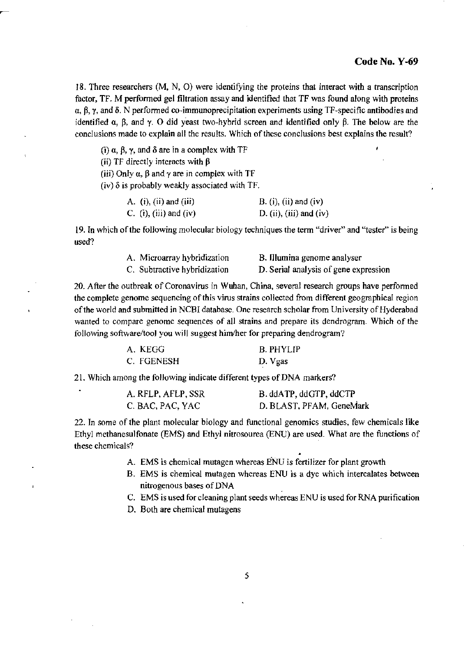18. Three researchers (M, N, 0) were identifying the proteins that interact with a transcription factor, TF. M performed gel filtration assay and identified that TF was found along with proteins  $\alpha$ ,  $\beta$ ,  $\gamma$ , and  $\delta$ . N performed co-immunoprecipitation experiments using TF-specific antibodies and identified  $\alpha$ ,  $\beta$ , and  $\gamma$ . O did yeast two-hybrid screen and identified only  $\beta$ . The below are the conclusions made to explain all the results. Which of these conclusions best explains the result?

(i)  $\alpha$ ,  $\beta$ ,  $\gamma$ , and  $\delta$  are in a complex with TF

(ii) TF directly interacts with  $\beta$ 

(iii) Only  $\alpha$ ,  $\beta$  and  $\gamma$  are in complex with TF

(iv)  $\delta$  is probably weakly associated with TF.

| A. $(i)$ , $(ii)$ and $(iii)$ | $B. (i), (ii)$ and $(iv)$ |
|-------------------------------|---------------------------|
| C. (i), (iii) and (iv)        | D. (ii), (iii) and (iv)   |

19. Tn which of the following molecular biology techniques the term "driver" and "tester" is being used?

| A. Microarray hybridization  | B. Illumina genome analyser           |
|------------------------------|---------------------------------------|
| C. Subtractive hybridization | D. Serial analysis of gene expression |

20. After the outbreak of Coronavirus in Wuhan, China, several research groups have perfonned the complete genome sequencing of this virus strains collected from different geographical region of the world and submitted in NCBI database. One research scholar from University of Hyderabad wanted to compare genome sequences of all strains and prepare its dendrogram. Which of the following software/tool you will suggest him/her for preparing dendrogram?

| A. KEGG    | <b>B. PHYLIP</b> |
|------------|------------------|
| C. FGENESH | D. Vgas          |

21. Which among the following indicate different types of DNA markers?

| A. RFLP, AFLP, SSR | B. ddATP, ddGTP, ddCTP   |
|--------------------|--------------------------|
| C. BAC, PAC, YAC   | D. BLAST, PFAM, GeneMark |

22. In some of the plant molecular biology and functional genomics studies, few chemicals like Ethyl methanesulfonate (EMS) and Ethyl nitrosourea (ENU) are used. What are the functions of these chemicals?

- A. EMS is chemical mutagen whereas ENU is fertilizer for plant growth
- B. EMS is chemical mutagen whereas ENU is a dye which intercalates between nitrogenous bases of DNA
- C. EMS is used for cleaning plant seeds whereas ENU is used for RNA purification
- D. Both are chemical mutagens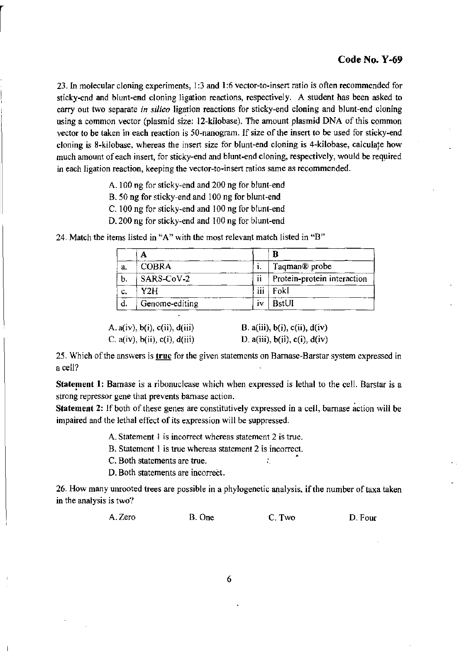23. In molecular cloning experiments, 1:3 and 1:6 vector-to-insert ratio is often recommended for sticky-end and blunt-end cloning ligation reactions, respectively\_ A student has been asked to carry out two separate *in silico* ligation reactions for sticky-end cloning and blunt-end cloning using a common vector (plasmid size: 12-kilobase). The amount plasmid DNA of this common vector to be taken in each reaction is 50-nanogram. If size of the insert to be used for sticky-end cloning is 8-kilobase, whereas the insert size for blunt-end cloning is 4-kilobase, calculate how much amount of each insert, for sticky-end and blunt-end cloning, respectively, would be required in each ligation reaction, keeping the vector-ta-insert ratios same as recommended.

- A.IOO ng for sticky~end and 200 ng for blunt-end
- B. 50 ng for sticky-end and 100 ng for blunt-end
- C. 100 ng for sticky-end and 100 ng for blunt-end
- D. 200 ng for sticky-end and 100 ng for blunt·end

|    | Α              |         | B                           |
|----|----------------|---------|-----------------------------|
| a. | <b>COBRA</b>   | ι.      | Taqman <sup>®</sup> probe   |
| b. | SARS-CoV-2     | ii      | Protein-protein interaction |
| c. | Y2H            | <br>111 | Fokl                        |
| d. | Genome-editing | IV      | BstUI                       |

24. Match the items listed in "A" with the most relevant match listed in "B"

| A. $a(iv)$ , $b(i)$ , $c(ii)$ , $d(iii)$ | B. a(iii), $b(i)$ , $c(ii)$ , $d(iv)$ |
|------------------------------------------|---------------------------------------|
| C. $a(iv)$ , $b(ii)$ , $c(i)$ , $d(iii)$ | D. a(iii), $b(ii)$ , $c(i)$ , $d(iv)$ |

25. Which of the answers is true for the given statements on Barnase-Barstar system expressed in a cell?

Statement 1: Barnase is a ribonuclease which when expressed is lethal to the cell. Barstar is a strong repressor gene that prevents barnase action.

Statement 2: If both of these genes are constitutively expressed in a cell, barnase action will be impaired and the lethal effect of its expression will be suppressed.

A. Statement I is incorrect whereas statement 2 is true.

B. Statement 1 is true whereas statement 2 is incorrect.

C. Both statements are true.  $\therefore$ 

D. Both statements are incorrect.

26. How many unrooted trees are possible in a phylogenetic analysis, if the number of taxa taken in the analysis is two?

| A. Zero<br>B. One | C. Two | D. Four |
|-------------------|--------|---------|
|-------------------|--------|---------|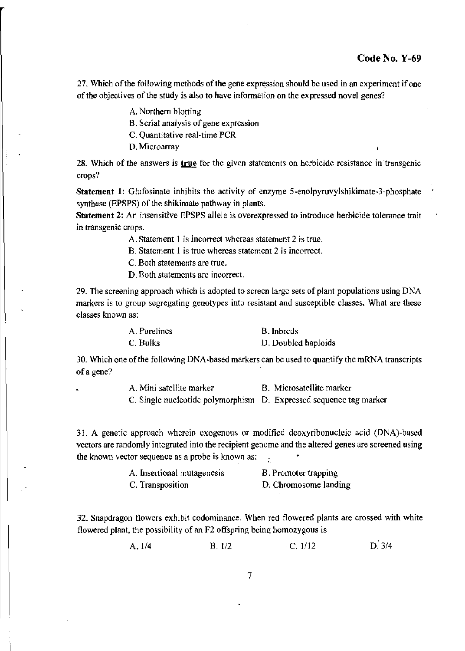¥

27. Which of the following methods of the gene expression should be used in an experiment if one of the objectives of the study is also to have information on the expressed novel genes?

A. Northern blotting

B. Serial analysis of gene expression

C. Quantitative real-time PCR

D.Microarray

28. Which of the answers is  $true$  for the given statements on herbicide resistance in transgenic crops?

Statement 1: Glufosinate inhibits the activity of enzyme 5-enolpyruvylshikimate-3-phosphate synthase (EPSPS) of the shikimate pathway in plants.

Statement 2: An insensitive EPSPS allele is overexpressed to introduce herbicide tolerance trait in transgenic crops.

A. Statement I is incorrect whereas statement 2 is true.

B. Statement 1 is true whereas statement 2 is incorrect.

C. Both statements are true.

D. Both statements are incorrect.

29. The screening approach which is adopted to screen large sets of plant populations using DNA markers is to group segregating genotypes into resistant and susceptible classes, What are these classes known as:

| A. Purelines | B. Inbreds          |
|--------------|---------------------|
| C. Bulks     | D. Doubled haploids |

30. Which one of the following DNA·based markers can be used to quantify the mRNA transcripts ofa gene?

A. Mini satellite marker B. Microsatellite marker

C. Single nucleotide polymorphism D. Expressed sequence tag marker

31, A genetic approach wherein exogenous or modified deoxyribonucleic acid (DNA)-based vectors are randomly integrated into the recipient genome and the altered genes are screened using the known vector sequence as a probe is known as: •

| A. Insertional mutagenesis | B. Promoter trapping  |
|----------------------------|-----------------------|
| C. Transposition           | D. Chromosome landing |

32. Snapdragon flowers exhibit codominance. When red flowered plants are crossed with white flowered plant, the possibility of an F2 offspring being homozygous is

> $D.3/4$ A. 1/4 B. 1/2 C. 1/12

> > 7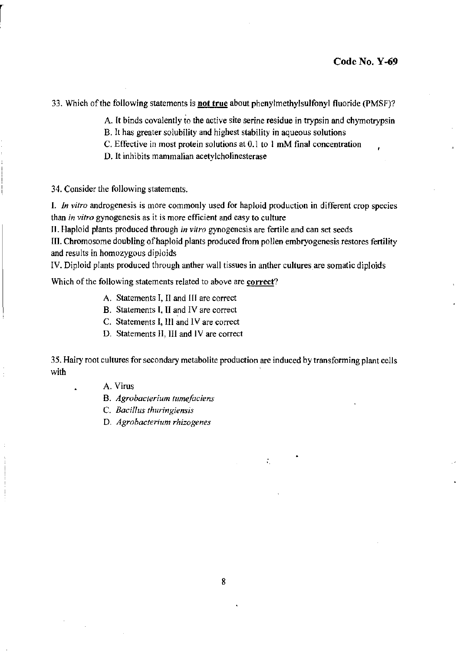33. Which of the following statements is not true about phenylmethylsulfonyl fluoride (PMSF)?

A. It binds covalently to the active site serine residue in trypsin and chymotrypsin

- B. It has greater solubility and highest stability in aqueous solutions
- C. Effective in most protein solutions at 0.1 to 1 mM final concentration
- D. It inhibits mammalian acetylcholinesterase

34. Consider the following statements.

I. *In vitro* androgenesis is more commonly used for haploid production in different crop species than *in vitro* gynogenesis as it is more efficient and easy to culture

II. Haploid plants produced through *in vitro* gynogenesis are fertile and can set seeds

III. Chromosome doubling of haploid plants produced from pollen embryogenesis restores fertility and results in homozygous diploids

IV. Diploid plants produced through anther wall tissues in anther cultures are somatic diploids

Which of the following statements related to above are correct?

- A. Statements I, II and III are correct
- B. Statements I, II and IV are correct
- C. Statements I, 1II and IV are correct
- D. Statements II, III and IV are correct

35. Hairy root cultures for secondary metabolite production are induced by transforming plant cells with

,

A. Virus

B. *Agrobacterium tumefaciens* 

C. *Bacillus thuringiensis* 

D. *Agrobacterium rhizogenes*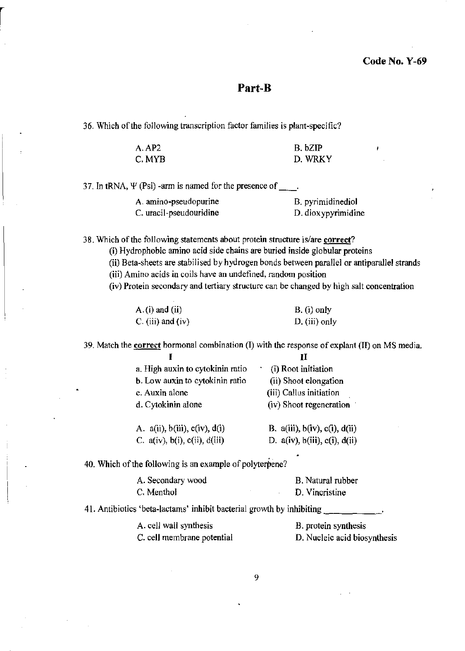## Part-B

36. Which of the following transcription factor families is plant-specific?

| A. AP2  | B. bZIP |
|---------|---------|
| C. MYB- | D. WRKY |

37. In tRNA,  $\Psi$  (Psi) -arm is named for the presence of  $\qquad$ .

| A. amino-pseudopurine   | B. pyrimidinediol  |
|-------------------------|--------------------|
| C. uracil-pseudouridine | D. dioxypyrimidine |

38. Which of the following statements about protein structure is/are **correct?** 

(i) Hydrophobic amino acid side chains are buried inside globular proteins

(ii) Beta-sheets are stabilised by hydrogen bonds between parallel or antiparallel strands

(iii) Amino acids in coils have an undefined, random position

(iv) Protein secondary and tertiary structure can be changed by high salt concentration

| $A.(i)$ and $(ii)$ | B. (i) only     |  |
|--------------------|-----------------|--|
| C. (iii) and (iv)  | $D.$ (iii) only |  |

39. Match the **correct** hormonal combination (I) with the response of explant (II) on MS media.

| a. High auxin to cytokinin ratio         | (i) Root initiation                      |
|------------------------------------------|------------------------------------------|
| b. Low auxin to cytokinin ratio          | (ii) Shoot elongation                    |
| c. Auxin alone                           | (iii) Callus initiation                  |
| d. Cytokinin alone                       | (iv) Shoot regeneration                  |
| A. $a(ii)$ , $b(iii)$ , $c(iv)$ , $d(i)$ | B. $a(iii)$ , $b(iv)$ , $c(i)$ , $d(ii)$ |
| C. $a(iv)$ , $b(i)$ , $c(ii)$ , $d(iii)$ | D. $a(iv)$ , $b(iii)$ , $c(i)$ , $d(ii)$ |

40. Which of the following is an example of polyterpene?

| A. Secondary wood |  | B. Natural rubber |
|-------------------|--|-------------------|
| C. Menthol        |  | D. Vincristine    |

41. Antibiotics 'beta-lactams' inhibit bacterial growth by inhibiting  $\frac{1}{\sqrt{1-\frac{1}{1-\frac{1}{1-\frac{1}{1-\frac{1}{1-\frac{1}{1-\frac{1}{1-\frac{1}{1-\frac{1}{1-\frac{1}{1-\frac{1}{1-\frac{1}{1-\frac{1}{1-\frac{1}{1-\frac{1}{1-\frac{1}{1-\frac{1}{1-\frac{1}{1-\frac{1}{1-\frac{1}{1-\frac{1}{1-\frac{1}{1-\frac{1}{1-\frac{1}{1-\frac{$ 

| A. cell wall synthesis     | B. protein synthesis         |
|----------------------------|------------------------------|
| C. cell membrane potential | D. Nucleic acid biosynthesis |

9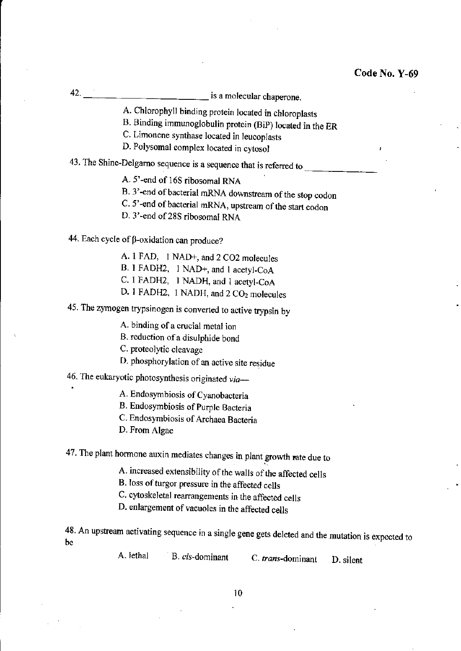42. \_\_\_\_\_\_\_\_\_\_\_\_ is a molecular chaperone.

A. Chlorophyll binding protein located in chloroplasts

B. Binding immunoglobulin protein (BiP) located in the ER

C. Limonene synthase located in leucoplasts

D. Polysomal complex located in cytosol

43. The Shine-Delgarno sequence is a sequence that is referred to

A. S'-end of 16S ribosomal RNA

B. 3'-end of bacterial mRNA downstream of the stop codon

C. 5'-end of bacterial mRNA, upstream of the start codon

D. 3'-end of 28S ribosomal RNA

44. Each cycle of  $\beta$ -oxidation can produce?

A. 1 FAD, 1 NAD+, and 2 C02 molecules

B. 1 FADH2, I NAD+, and 1 acetyl-CoA

C. 1 FADH2, 1 NADH, and I acetyl-CoA

D. 1 FADH2, 1 NADH, and 2 CO<sub>2</sub> molecules

45. The zymogen trypsinogen is converted to active trypsin by

A. binding of a crucial metal ion

B. reduction of a disulphide bond

C. proteolytic cleavage

D. phosphorylation of an active site residue

46. The eukaryotic photosynthesis originated *via-*

A. Endosymbiosis of Cyanobacteria

B. Endosymbiosis of Purple Bacteria

C. Endosymbiosis of Archaea Bacteria

D. From Algae

47. The plant hormone auxin mediates changes in plant growth rate due to

A. increased extensibility of the walls of the affected cells

B. loss of turgor pressure in the affected cells

C. cytoskeletal rearrangements in the affected cells

D. enlargement of vacuoles in the affected cells

48. An upstream activating sequence in a single gene gets deleted and the mutation is expected to be

A. lethal B. cis-dominant C. trans-dominant D. silent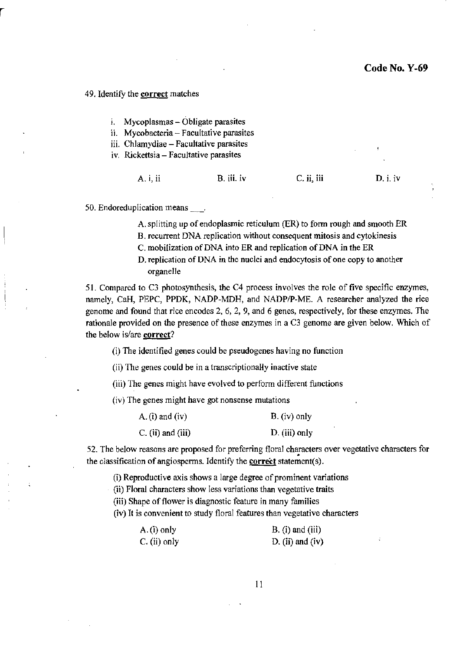#### 49. IdentifY the **correct** matches

- i. Mycoplasmas Obligate parasites
- ii. Mycobacteria Facultative parasites
- iii. Chlamydiae Facultative parasites
- iv. Rickettsia Facultative parasites

| A. i, ii | B. iii. iv | $C.$ ii, iii | D. i. iv |
|----------|------------|--------------|----------|
|----------|------------|--------------|----------|

50. Endoreduplication means\_.

A. splitting up of endoplasmic reticulum (ER) to form rough and smooth ER

B. recurrent DNA replication without consequent mitosis and cytokinesis

C. mobilization of DNA into ER and replication of DNA in the ER

D. replication of DNA in the nuclei and endocytosis of one copy to another organelle

51. Compared to C3 photosynthesis, the C4 process involves the role of five specific enzymes, namely, CaH, PEPC, PPDK, NADP-MDH, and NADP/P-ME. A researcher analyzed the rice genome and found that rice encodes 2, 6, 2, 9, and 6 genes, respectively, for these enzymes. The rationale provided on the presence of these enzymes in a C3 genome are given below. Which of the below is/are correct?

0) The identified genes could be pseudogenes having no function

(ii) The genes could be in a transcriptionaHy inactive state

(iii) The genes might have evolved to perform different functions

(iv) The genes might have got nonsense mutations

| A. $(i)$ and $(iv)$ | $B. (iv)$ only |
|---------------------|----------------|
| $C.$ (ii) and (iii) | D. (iii) only  |

52. The below reasons are proposed for preferring floral characters over vegetative characters for the classification of angiosperms. Identify the **correct** statement(s).

(i) Reproductive axis shows a large degree of prominent variations

(ii) Floral characters show less variations than vegetative traits

(iii) Shape of flower is diagnostic feature in many families

(iv) It is convenient to study floral features than vegetative characters

| $A.(i)$ only    | $B. (i)$ and $(iii)$ |  |
|-----------------|----------------------|--|
| $C$ . (ii) only | D. (ii) and (iv)     |  |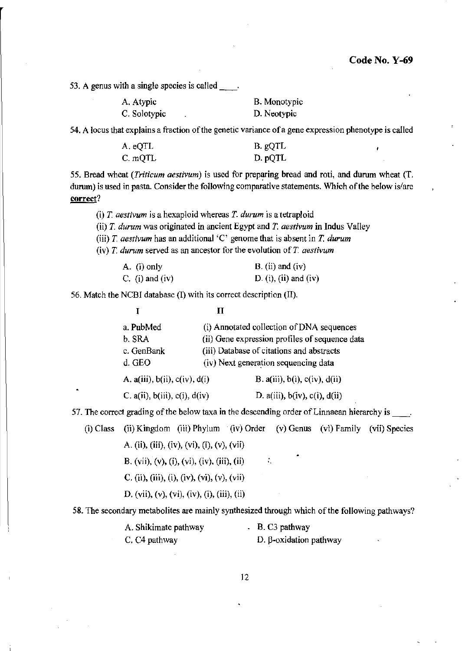**53. A genus with a single species is called** \_\_ .

| A. Atypic    | B. Monotypic |
|--------------|--------------|
| C. Solotypic | D. Neotypic  |

**54. A locus that explains a fraction** of the **genetic variance ofa gene expression phenotype is called** 

| A. eQTL | B. gQTL |
|---------|---------|
| C. mQTL | D. pQTL |

55. Bread wheat *(Triticum aestivum)* is used for preparing bread and roti, and durum wheat *(T.* **durum) is used in pasta. Consider the following comparative statements. Which** of the **below is/are correct?** 

**(i)** *T. aestivum* **is a hexaploid whereas** *T. durum* **is a tetraploid** 

**(ii)** *1. durum* **was originated in ancient Egypt and T.** *aestivum* **in Indus Valley** 

**(iii)** *T. aestivum* **has an additional 'C' genome that is absent in T.** *durum* 

**(iv)** *T. durum* **served as an ancestor for the evolution of** *T aestivum* 

| A. (i) only     | $B.$ (ii) and (iv)    |
|-----------------|-----------------------|
| C. (i) and (iv) | D. (i), (ii) and (iv) |

56. Match the NCBI database (I) with its correct description (II).

|                                          | н |                                                |  |
|------------------------------------------|---|------------------------------------------------|--|
| a. PubMed                                |   | (i) Annotated collection of DNA sequences      |  |
| b. SRA                                   |   | (ii) Gene expression profiles of sequence data |  |
| c. GenBank                               |   | (iii) Database of citations and abstracts      |  |
| d. GEO                                   |   | (iv) Next generation sequencing data           |  |
| A. $a(iii)$ , $b(ii)$ , $c(iv)$ , $d(i)$ |   | B. $a(iii)$ , $b(i)$ , $c(iv)$ , $d(ii)$       |  |
| C. $a(ii)$ , $b(iii)$ , $c(i)$ , $d(iv)$ |   | D. a(iii), $b(iv)$ , $c(i)$ , $d(ii)$          |  |

57. The correct grading of the below taxa in the descending order of Linnaean hierarchy is \_\_\_\_.

(i) Class (ii) Kingdom (iii) Phylum (iv) Order (v) Genus (vi) Family (vii) Species

A. (ii), (iii), (iv), (vi), (i), (v), (vii)

B. (vii), (v), (i), (vi), (iv), (iii), (ii) .

C. (ii), (iii), (i), (iv), (vi), (v), (vii)

D. (vii), (v), (vi), (iv), (i), (iii), (ii)

**58. The secondary metabolites are mainly synthesized through which of the following pathways?** 

| A. Shikimate pathway      | B. C3 pathway          |
|---------------------------|------------------------|
| C. C <sub>4</sub> pathway | D. β-oxidation pathway |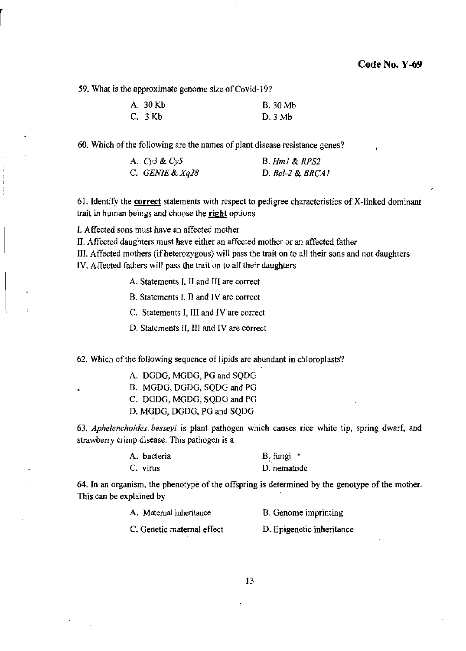59. What is the approximate genome size of Covid-19?

| A. 30 Kb |   | <b>B.</b> 30 Mb |
|----------|---|-----------------|
| C. 3Kb   | ٠ | D.3Mb           |

60. Which of the following are the names of plant disease resistance genes?

| A. $Cy3 & Cy5$    | $B.$ Hm $l \& RPS2$ |
|-------------------|---------------------|
| C. GENIE & $Xq28$ | $D.$ Bcl-2 & BRCA1  |

61. Identify the **correct** statements with respect to pedigree characteristics of X-linked dominant trait in human beings and choose the right options

I. Affected sons must have an affected mother

II. Affected daughters must have either an affected mother or an affected father

III. Affected mothers (if heterozygous) will pass the trait on to all their sons and not daughters

IV. Affected fathers will pass the trait on to all their daughters

A. Statements J, II and III are correct

B. Statements I, II and IV are correct

C. Statements I, JII and IV are correct

D. Statements II, III and IV are correct

62. Which of the following sequence of lipids are abundant in chloroplasts?

A. DGDG. MGDG, PG and SQDG

B. MGDG, DGDG. SQDG and PG

C. DGDG, MGDG, SQDG and PG

D. MGDG, DGDG. PG and SQDG

*63. Aphelenchoides besseyi* is plant pathogen which causes rice white tip, spring dwarf, and strawberry crimp disease. This pathogen is a

| A. bacteria | B. fungi $\cdot$ |
|-------------|------------------|
| C. virus    | D. nematode      |

64. In an organism, the phenotype of the offspring is determined by the genotype of the mother. This can be explained by

| A. Maternal inheritance    | B. Genome imprinting      |
|----------------------------|---------------------------|
| C. Genetic maternal effect | D. Epigenetic inheritance |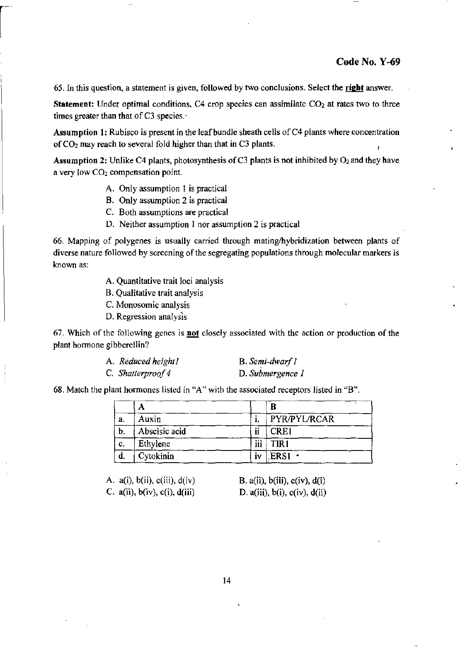65. In this question, a statement is given, followed by two conclusions. Select the **right** answer.

**Statement:** Under optimal conditions, C4 crop species can assimilate  $CO<sub>2</sub>$  at rates two to three times greater than that of C3 species. $\cdot$ 

Assumption 1: Rubisco is present in the leaf bundle sheath cells of  $C<sub>4</sub>$  plants where concentration of  $CO<sub>2</sub>$  may reach to several fold higher than that in C3 plants.

Assumption 2: Unlike C4 plants, photosynthesis of C3 plants is not inhibited by  $O_2$  and they have a very low C02 compensation point.

- A. Only assumption 1 is practical
- B. Only assumption 2 is practical
- C. Both assumptions are practical
- D. Neither assumption 1 nor assumption 2 is practical

66. Mapping of polygenes is usually carried through mating/hybridization between plants of diverse nature followed by screening of the segregating populations through molecular markers is known as:

- A. Quantitative trait loci analysis
- B. Qualitative trait analysis
- C. Monosomic analysis
- D. Regression analysis

67. Which of the following genes is not closely associated with the action or production of the plant hormone gibberellin?

| A. Reduced height I | B. Semi-dwarf 1  |
|---------------------|------------------|
| C. Shatterproof 4   | D. Submergence 1 |

68. Match the plant hormones listed in "A" with the associated receptors listed in "B".

|    | Α             |                            | В            |
|----|---------------|----------------------------|--------------|
| a. | Auxin         |                            | PYR/PYL/RCAR |
| Ъ, | Abscisic acid | $\ddot{\phantom{1}}$<br>11 | <b>CRE1</b>  |
| c. | Ethylene      | iii                        | TIR 1        |
|    | Cytokinin     | İ٧                         | ERS1         |

A.  $a(i)$ ,  $b(ii)$ ,  $c(iii)$ ,  $d(iv)$ C.  $a(ii)$ ,  $b(iv)$ ,  $c(i)$ ,  $d(iii)$ 

B.  $a(ii)$ ,  $b(iii)$ ,  $c(iv)$ ,  $d(i)$ D.  $a(iii)$ ,  $b(i)$ ,  $c(iv)$ ,  $d(ii)$